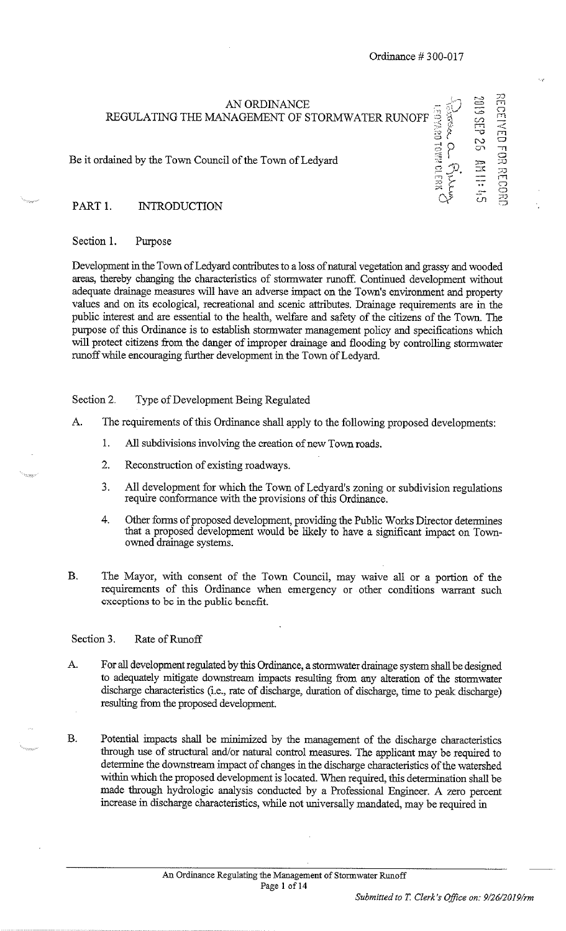|                   | AN ORDINANCE<br>REGULATING THE MANAGEMENT OF STORMWATER RUNOFF | VÄUÄ<br>ho                    | 雲                         | ಸಾ<br>щ<br>AI <sub>30</sub><br>гŋ |
|-------------------|----------------------------------------------------------------|-------------------------------|---------------------------|-----------------------------------|
|                   | Be it ordained by the Town Council of the Town of Ledyard      | <b>RINGIL</b><br>$\Box$<br>円安 | D)<br>m<br>芸<br>$\bullet$ | ᆩ<br>نت<br>ಸಾ<br>ΓΠ               |
| PART <sub>1</sub> | <b>INTRODUCTION</b>                                            |                               | $\sim$<br>εn              | $rac{5}{5}$                       |

## Section 1. Purpose

Development in the Town of Ledyard contributes to a loss of natural vegetation and grassy and wooded areas, thereby changing the characteristics of stonuwater runoff. Continued development without adequate drainage measures will have an adverse impact on the Town's environment and property values and on its ecological, recreational and scenic attributes. Drainage requirements are in the public interest and are essential to the health, welfare and safety of the citizens of the Town. The purpose of this Ordinance is to establish stormwater management policy and specifications which will protect citizens from the danger of improper drainage and flooding by controlling stormwater runoff while encouraging further development in the Town of Ledyard.

## Section 2. Type of Development Being Regulated

- A. The requirements of this Ordinance shall apply to the following proposed developments:
	- 1. All subdivisions involving the creation of new Town roads.
	- 2. Reconstruction of existing roadways.
	- 3. All development for which the Town of Ledyard's zoning or subdivision regulations require conformance with the provisions of this Ordinance.
	- 4. Other forms of proposed development, providing the Public Works Director determines that a proposed development would be likely to have a significant impact on Townowned drainage systems.
- B. The Mayor, with consent of the Town Council, may waive all or a portion of the requirements of this Ordinance when emergency or other conditions warrant such exceptions to be in the public benefit.

## Section 3. Rate of Runoff

- A. For all development regulated by this Ordinance, a stormwater drainage system shall be designed to adequately mitigate downstream impacts resulting from any alteration of the stormwater discharge characteristics (i.e., rate of discharge, duration of discharge, time to peak discharge) resulting from the proposed development.
- B. Potential impacts shall be minimized by the management of the discharge characteristics through use of structural and/or natural control measures. The applicant may be required to determine the downstream impact of changes in the discharge characteristics of the watershed within which the proposed development is located. When required, this determination shall be made through hydrologic analysis conducted by a Professional Engineer. A zero percent increase in discharge characteristics, while not universally mandated, may be required in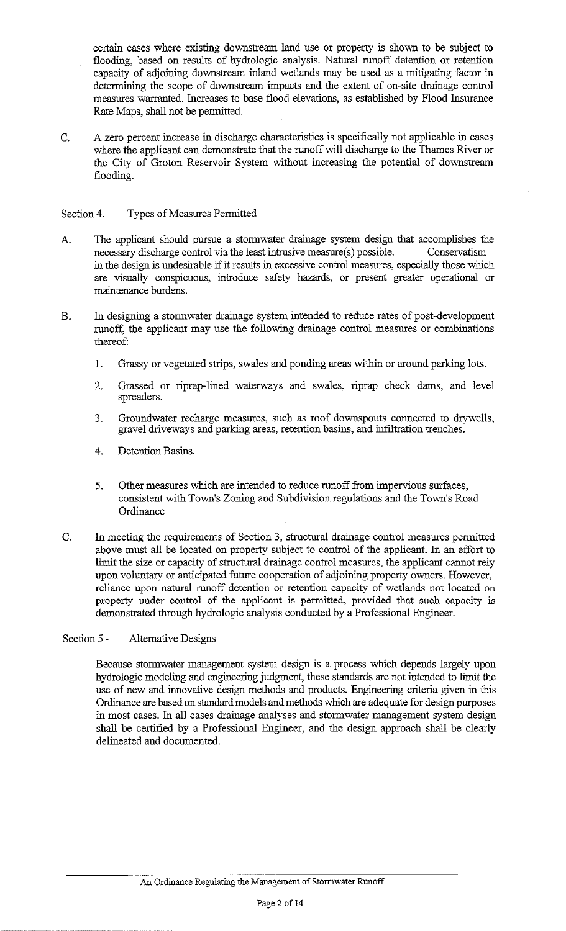certain cases where existing downstream land use or property is shown to be subject to flooding, based on results of hydrologic analysis. Natural runoff detention or retention capacity of adjoining downstream inland wetlands may be used as a mitigating factor in determining the scope of downstream impacts and the extent of on-site drainage control measures warranted. Increases to base flood elevations, as established by Flood Insurance Rate Maps, shall not be permitted.

C. A zero percent increase in discharge characteristics is specifically not applicable in cases where the applicant can demonstrate that the runoff will discharge to the Thames River or the City of Groton Reservoir System without increasing the potential of downstream flooding.

## Section 4. Types of Measures Permitted

- A. The applicant should pursue a stormwater drainage system design that accomplishes the necessary discharge control via the least intrusive measure(s) possible. Conservatism in the design is undesirable if it results in excessive control measures, especially those which are visually conspicuous, introduce safety hazards, or present greater operational or maintenance burdens.
- B. In designing a stormwater drainage system intended to reduce rates of post-development runoff, the applicant may use the following drainage control measures or combinations thereof:
	- I. Grassy or vegetated strips, swales and ponding areas within or around parking lots.
	- 2. Grassed or riprap-lined waterways and swales, riprap check dams, and level spreaders.
	- 3. Groundwater recharge measures, such as roof downspouts connected to drywells, gravel driveways and parking areas, retention basins, and infiltration trenches.
	- 4. Detention Basins.
	- 5. Other measures which are intended to reduce runoff from impervious surfaces, consistent with Town's Zoning and Subdivision regulations and the Town's Road **Ordinance**
- C. In meeting the requirements of Section 3, structural drainage control measures permitted above must all be located on property subject to control of the applicant. In an effort to limit the size or capacity of structural drainage control measures, the applicant cannot rely upon voluntary or anticipated future cooperation of adjoining property owners. However, reliance upon natural runoff detention or retention capacity of wetlands not located on property under control of the applicant is permitted, provided that such capacity is demonstrated through hydrologic analysis conducted by a Professional Engineer.

# Section 5 - Alternative Designs

Because stormwater management system design is a process which depends largely upon hydrologic modeling and engineering judgment, these standards are not intended to limit the use of new and innovative design methods and products. Engineering criteria given in this Ordinance are based on standard models and methods which are adequate for design purposes in most cases. In all cases drainage analyses and stormwater management system design shall be certified by a Professional Engineer, and the design approach shall be clearly delineated and documented.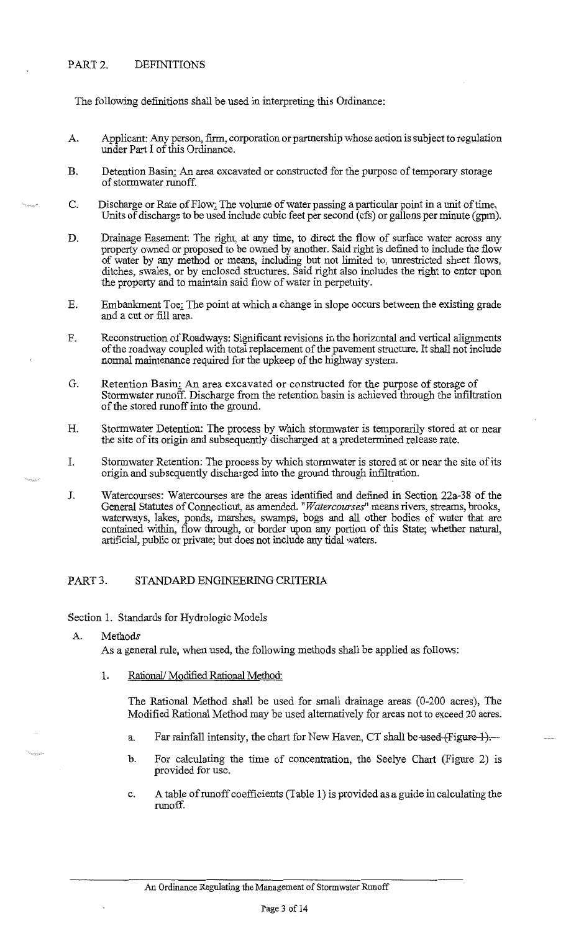The following definitions shall be used in interpreting this Ordinance:

- A. Applicant: Any person, firm, corporation or partnership whose action is subject to regulation under Part I of this Ordinance.
- B. Detention Basin: An area excavated or constructed for the purpose of temporary storage of stormwater runoff.
- C. Discharge or Rate of Flow: The volume of water passing a particular point in a unit of time, Units of discharge to be used include cubic feet per second (cfs) or gallons per minute (gpm).
- D. Drainage Easement: The right, at any time, to direct the flow of surface water across any property owned or proposed to be owned by another. Said right is defined to include the flow of water by any method or means, including but not limited to, unrestricted sheet flows, ditches, swales, or by enclosed structures. Said right also includes the right to enter upon the property and to maintain said flow of water in perpetuity.
- E. Embankment Toe: The point at which a change in slope occurs between the existing grade and a cut or fill area.
- F. Reconstruction of Roadways: Significant revisions in the horizontal and vertical alignments of the roadway coupled with total replacement of the pavement structure. It shall not include normal maintenance required for the upkeep of the highway system.
- G. Retention Basin: An area excavated or constructed for the purpose of storage of Stormwater runoff. Discharge from the retention basin is achieved through the infiltration of the stored runoff into the ground.
- H. Stormwater Detention: The process by which stormwater is temporarily stored at or near the site of its origin and subsequently discharged at a predetermined release rate.
- I. Stormwater Retention: The process by which stormwater is stored at or near the site of its origin and subsequently discharged into the ground through infiltration.
- J. Watercourses: Watercourses are the areas identified and defined in Section 22a-38 of the General Statutes of Connecticut, as amended. *"Watercourses"* means rivers, streams, brooks, waterways, lakes, ponds, marshes, swamps, bogs and all other bodies of water that are contained within, flow through, or border upon any portion of this State; whether natural, artificial, public or private; but does not include any tidal waters.

## PART 3. STANDARD ENGINEERING CRITERIA

Section I. Standards for Hydrologic Models

A. Methods

As a general rule, when used, the following methods shall be applied as follows:

1. Rational/ Modified Rational Method:

The Rational Method shall be used for small drainage areas (0-200 acres), The Modified Rational Method may be used alternatively for areas not to exceed 20 acres.

- a. Far rainfall intensity, the chart for New Haven, CT shall be used  $(Figure 1)$ .
- b. For calculating the time of concentration, the Seelye Chart (Figure 2) is provided for use.
- c. A table of runoff coefficients (Table 1) is provided as a guide in calculating the runoff.

An Ordinance Regulating the Management of Stormwater Runoff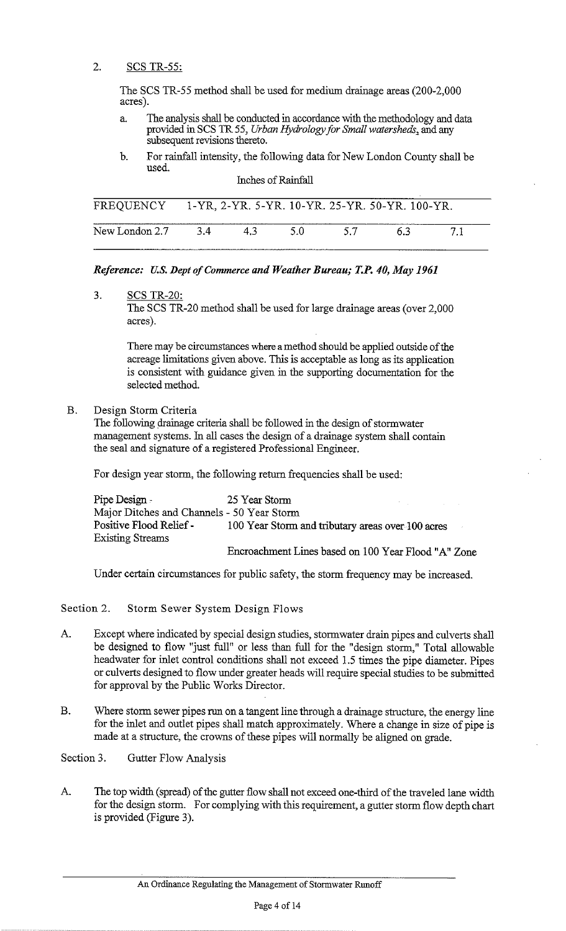2. SCS TR-55:

The SCS TR-55 method shall be used for medium drainage areas (200-2,000 acres).

- a. The analysis shall be conducted in accordance with the methodology and data provided in SCS fR 55, *Urban Hydrology for Small watersheds.,* and any subsequent revisions thereto.
- b. For rainfall intensity, the following data for New London County shall be used. Inches of Rainfall

| FREQUENCY                     1-YR, 2-YR. 5-YR. 10-YR. 25-YR. 50-YR. 100-YR. |    |    |    |      | ----------------------- |  |
|------------------------------------------------------------------------------|----|----|----|------|-------------------------|--|
| New London 2.7                                                               | 34 | 43 | 50 | -5.7 |                         |  |

## *Reference: U.S. Dept of Commerce and Weather Bureau; T.P. 40, May 1961*

3. SCS TR-20:

The SCS TR-20 method shall be used for large drainage areas (over 2,000 acres).

There may be circumstances where a method should be applied outside of the acreage limitations given above. This is acceptable as long as its application is consistent with guidance given in the supporting documentation for the selected method.

B. Design Storm Criteria

The following drainage criteria shall be followed in the design of stormwater management systems. In all cases the design of a drainage system shall contain the seal and signature of a registered Professional Engineer.

For design year storm, the following return frequencies shall be used:

Pipe Design - 25 Year Storm Major Ditches and Channels - 50 Year Storm Positive Flood Relief - 100 Year Storm and tributary areas over 100 acres Existing Streams

Encroachment Lines based on 100 Year Flood "A" Zone

Under certain circumstances for public safety, the storm frequency may be increased.

Section 2. Storm Sewer System Design Flows

- A. Except where indicated by special design studies, stormwater drain pipes and culverts shall be designed to flow "just full" or less than full for the "design storm," Total allowable headwater for inlet control conditions shall not exceed 1.5 times the pipe diameter. Pipes or culverts designed to flow under greater heads will require special studies to be submitted for approval by the Public Works Director.
- B. Where storm sewer pipes run on a tangent line through a drainage structure, the energy line for the inlet and outlet pipes shall match approximately. Where a change in size of pipe is made at a structure, the crowns of these pipes will normally be aligned on grade.

Section 3. Gutter Flow Analysis

A. The top width (spread) of the gutter flow shall not exceed one-third of the traveled lane width for the design storm. For complying with this requirement, a gutter storm flow depth chart is provided (Figure 3).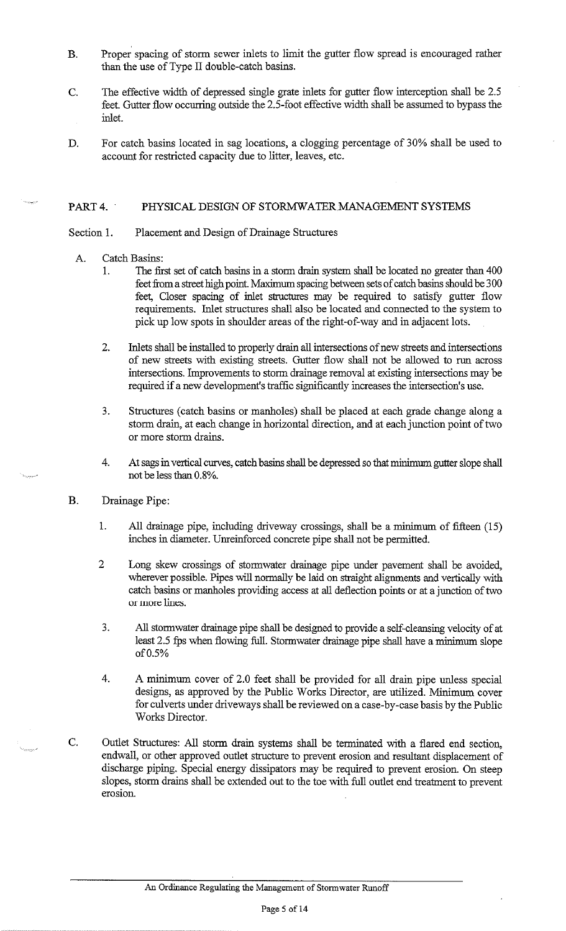- B. Proper spacing of storm sewer inlets to limit the gutter flow spread is encouraged rather than the use of Type II double-catch basins.
- C. The effective width of depressed single grate inlets for gutter flow interception shall be 2.5 feet. Gutter flow occurring outside the 2.5-foot effective width shall be assumed to bypass the inlet.
- D. For catch basins located in sag locations, a clogging percentage of 30% shall be used to account for restricted capacity due to litter, leaves, etc.

## PART 4. PHYSICAL DESIGN OF STORMWATER MANAGEMENT SYSTEMS

#### Section 1. Placement and Design of Drainage Structures

- A. Catch Basins:
	- 1. The first set of catch basins in a storm drain system shall be located no greater than 400 feet from a street high point. Maximum spacing between sets of catch basins should be 300 feet, Closer spacing of inlet structures may be required to satisfy gutter flow requirements. Inlet structures shall also be located and connected to the system to pick up low spots in shoulder areas of the right-of-way and in adjacent lots.
	- 2. Inlets shall be installed to properly drain all intersections of new streets and intersections of new streets with existing streets. Gutter flow shall not be allowed to run across intersections. Improvements to storm drainage removal at existing intersections may be required if a new development's traffic significantly increases the intersection's use.
	- 3. Structures (catch basins or manholes) shall be placed at each grade change along a storm drain, at each change in horizontal direction, and at each junction point of two or more storm drains.
	- 4. At sags in vertical curves, catch basins shall be depressed so that minimum gutter slope shall not be less than 0.8%.
- B. Drainage Pipe:
	- 1. All drainage pipe, including driveway crossings, shall be a minimum of fifteen (15) inches in diameter. Unreinforced concrete pipe shall not be permitted.
	- 2 Long skew crossings of stormwater drainage pipe under pavement shall be avoided, wherever possible. Pipes will normally be laid on straight alignments and vertically with catch basins or manholes providing access at all deflection points or at a junction of two or more lines.
	- 3. All stormwater drainage pipe shall be designed to provide a self-cleansing velocity of at least 2.5 fps when flowing full. Stormwater drainage pipe shall have a minimum slope of 0.5%
	- 4. A minimum cover of 2.0 feet shall be provided for all drain pipe unless special designs, as approved by the Public Works Director, are utilized. Minimum cover for culverts under driveways shall be reviewed on a ease-by-case basis by the Public Works Director.
- C. Outlet Structures: All storm drain systems shall be terminated with a flared end section, endwall, or other approved outlet structure to prevent erosion and resultant displacement of discharge piping. Special energy dissipators may be required to prevent erosion. On steep slopes, storm drains shall be extended out to the toe with fall outlet end treatment to prevent erosion.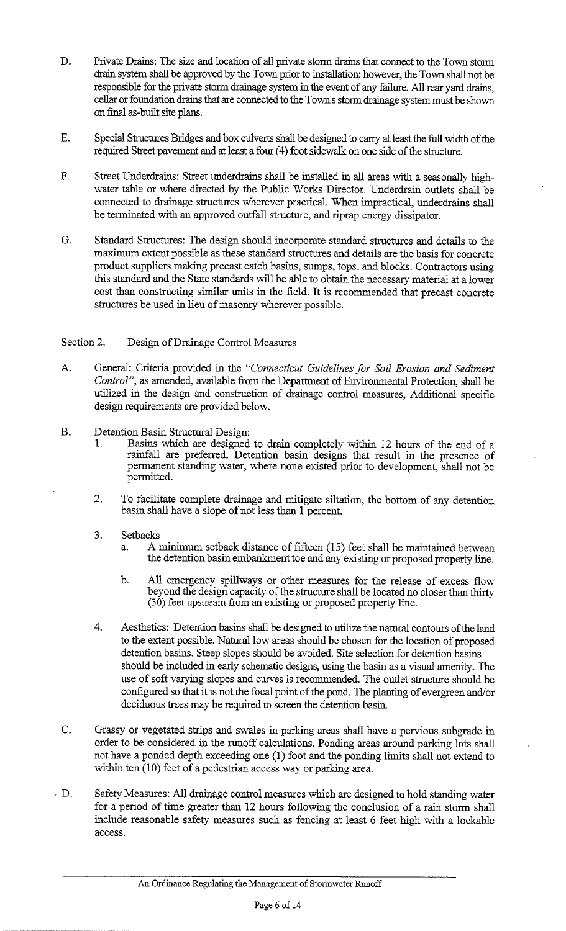- D. Private Drains: The size and location of all private storm drains that connect to the Town storm drain system shall be approved by the Town prior to installation; however, the Town shall not be responsible for the private storm drainage system in the event of any failure. All rear yard drains, cellar or foundation drains that are connected to the Town's stoma drainage system must be shown on final as-built site plans.
- E. Special Structures Bridges and box culverts shall be designed to carry at least the full width of the required Street pavement and at least a four (4) foot sidewalk on one side of the structure.
- F. Street Underdrains: Street underdrains shall be installed in all areas with a seasonally highwater table or where directed by the Public Works Director. Underdrain outlets shall be connected to drainage structures wherever practical. When impractical, underdrains shall be terminated with an approved outfall structure, and riprap energy dissipator.
- G. Standard Structures: The design should incorporate standard structures and details to the maximum extent possible as these standard structures and details are the basis for concrete product suppliers making precast catch basins, sumps, tops, and blocks. Contractors using this standard and the State standards will be able to obtain the necessary material at a lower cost than constructing similar units in the field. It is recommended that precast concrete structures be used in lieu of masonry wherever possible.

## Section 2. Design of Drainage Control Measures

- A. General: Criteria provided in the *"Connecticut Guidelines for Soil Erosion and Sediment Control",* as amended, available from the Department of Environmental Protection, shall be utilized in the design and construction of drainage control measures, Additional specific design requirements are provided below.
- B. Detention Basin Structural Design:
	- 1. Basins which are designed to drain completely within 12 hours of the end of a rainfall are preferred. Detention basin designs that result in the presence of permanent standing water, where none existed prior to development, shall not be permitted.
	- 2. To facilitate complete drainage and mitigate siltation, the bottom of any detention basin shall have a slope of not less than 1 percent.
	- 3. Setbacks
		- a. A minimum setback distance of fifteen (15) feet shall be maintained between the detention basin embankment toe and any existing or proposed property line.
		- b. All emergency spillways or other measures for the release of excess flow beyond the design capacity of the structure shall be located no closer than thirty (30) feet upstream from an existing or proposed property line.
	- 4. Aesthetics: Detention basins shall be designed to utilize the natural contours of the land to the extent possible. Natural low areas should be chosen for the location of proposed detention basins. Steep slopes should be avoided. Site selection for detention basins should be included in early schematic designs, using the basin as a visual amenity. The use of soft varying slopes and curves is recommended. The outlet structure should be configured so that it is not the focal point of the pond. The planting of evergreen and/or deciduous trees may be required to screen the detention basin.
- C. Grassy or vegetated strips and swales in parking areas shall have a pervious subgrade in order to be considered in the runoff calculations. Ponding areas around parking lots shall not have a ponded depth exceeding one (1) foot and the ponding limits shall not extend to within ten (10) feet of a pedestrian access way or parking area.
- D. Safety Measures: All drainage control measures which are designed to hold standing water for a period of time greater than 12 hours following the conclusion of a rain storm shall include reasonable safety measures such as fencing at least 6 feet high with a lockable access.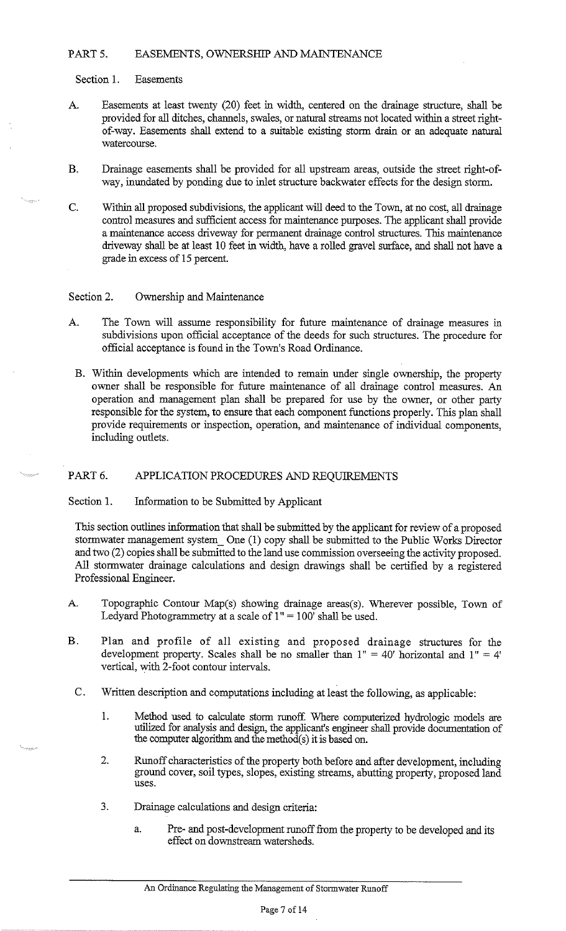## PART 5. EASEMENTS, OWNERSHIP AND MAINTENANCE

Section 1. Easements

- A. Easements at least twenty (20) feet in width, centered on the drainage structure, shall be provided for all ditches, channels, swales, or natural streams not located within a street rightof-way. Easements shall extend to a suitable existing storm drain or an adequate natural watercourse.
- B. Drainage easements shall be provided for all upstream areas, outside the street right-ofway, inundated by ponding due to inlet structure backwater effects for the design storm.
- C. Within all proposed subdivisions, the applicant will deed to the Town, at no cost, all drainage control measures and sufficient access for maintenance purposes. The applicant shall provide a maintenance access driveway for permanent drainage control structures. This maintenance driveway shall be at least 10 feet in width, have a rolled gravel surface, and shall not have a grade in excess of 15 percent.

Section 2. Ownership and Maintenance

- A. The Town will assume responsibility for future maintenance of drainage measures in subdivisions upon official acceptance of the deeds for such structures. The procedure for official acceptance is found in the Town's Road Ordinance.
- B. Within developments which are intended to remain under single ownership, the property owner shall be responsible for future maintenance of all drainage control measures. An operation and management plan shall be prepared for use by the owner, or other party responsible for the system, to ensure that each component functions properly. This plan shall provide requirements or inspection, operation, and maintenance of individual components, including outlets.

# PART 6. APPLICATION PROCEDURES AND REQUIREMENTS

## Section 1. Information to be Submitted by Applicant

This section outlines information that shall be submitted by the applicant for review of a proposed stormwater management system\_One (1) copy shall be submitted to the Public Works Director and two (2) copies shall be submitted to the land use commission overseeing the activity proposed. All stormwater drainage calculations and design drawings shall be certified by a registered Professional Engineer.

- A. Topographic Contour Map(s) showing drainage areas(s). Wherever possible, Town of Ledyard Photogrammetry at a scale of  $1" = 100'$  shall be used.
- B. Plan and profile of all existing and proposed drainage structures for the development property. Scales shall be no smaller than  $1'' = 40'$  horizontal and  $1'' = 4'$ vertical, with 2-foot contour intervals.
- C. Written description and computations including at least the following, as applicable:
	- 1. Method used to calculate storm runoff. Where computerized hydrologic models are utilized for analysis and design, the applicant's engineer shall provide documentation of the computer algorithm and the method(s) it is based on.
	- 2. Runoff characteristics of the property both before and after development, including ground cover, soil types, slopes, existing streams, abutting property, proposed land uses.
	- 3. Drainage calculations and design criteria:
		- a. Pre- and post-development runoff from the property to be developed and its effect on downstream watersheds.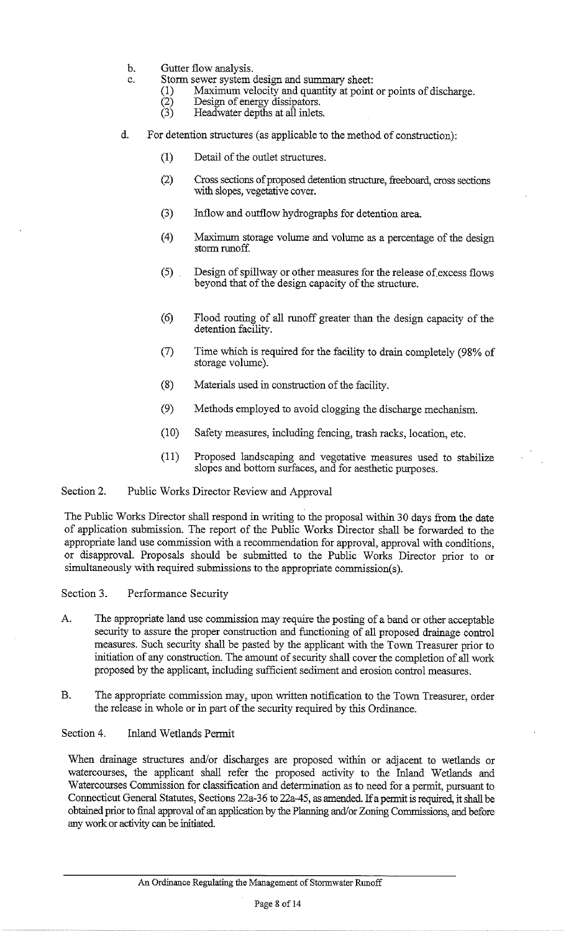- b. Gutter flow analysis.
- c. Storm sewer system design and summary sheet:
	- (1) Maximum velocity and quantity at point or points of discharge.<br>
	(2) Design of energy dissipators.<br>
	(3) Headwater depths at all inlets.
		- Design of energy dissipators.
		- Headwater depths at all inlets.
- d. For detention structures (as applicable to the method of construction):
	- (1) Detail of the outlet structures.
	- (2) Cross sections of proposed detention structure, freeboard, cross sections with slopes, vegetative cover.
	- (3) Inflow and outflow hydrographs for detention area.
	- (4) Maximum storage volume and volume as a percentage of the design storm runoff
	- (5) Design of spillway or other measures for the release of excess flows beyond that of the design capacity of the structure.
	- (6) Flood routing of all runoff greater than the design capacity of the detention facility.
	- (7) Time which is required for the facility to drain completely (98% of storage volume).
	- (8) Materials used in construction of the facility.
	- (9) Methods employed to avoid clogging the discharge mechanism.
	- (10) Safety measures, including fencing, trash racks, location, etc.
	- (11) Proposed landscaping and vegetative measures used to stabilize slopes and bottom surfaces, and for aesthetic purposes.

## Section 2. Public Works Director Review and Approval

The Public Works Director shall respond in writing to the proposal within 30 days from the date of application submission. The report of the Public Works Director shall be forwarded to the appropriate land use commission with a recommendation for approval, approval with conditions, or disapproval. Proposals should be submitted to the Public Works Director prior to or simultaneously with required submissions to the appropriate commission(s).

Section 3. Performance Security

- A. The appropriate land use commission may require the posting of a band or other acceptable security to assure the proper construction and functioning of all proposed drainage control measures. Such security shall be pasted by the applicant with the Town Treasurer prior to initiation of any construction. The amount of security shall cover the completion of all work proposed by the applicant, including sufficient sediment and erosion control measures.
- B. The appropriate commission may, upon written notification to the Town Treasurer, order the release in whole or in part of the security required by this Ordinance

#### Section 4. Inland Wetlands Permit

When drainage structures and/or discharges are proposed within or adjacent to wetlands or watercourses, the applicant shall refer the proposed activity to the Inland Wetlands and Watercourses Commission for classification and determination as to need for a permit, pursuant to Connecticut General Statutes, Sections 22a-36 to 22a-45, as amended. If a permit is required, it shall be obtained prior to final approval of an application by the Planning and/or Zoning Commissions, and before any work or activity can be initiated.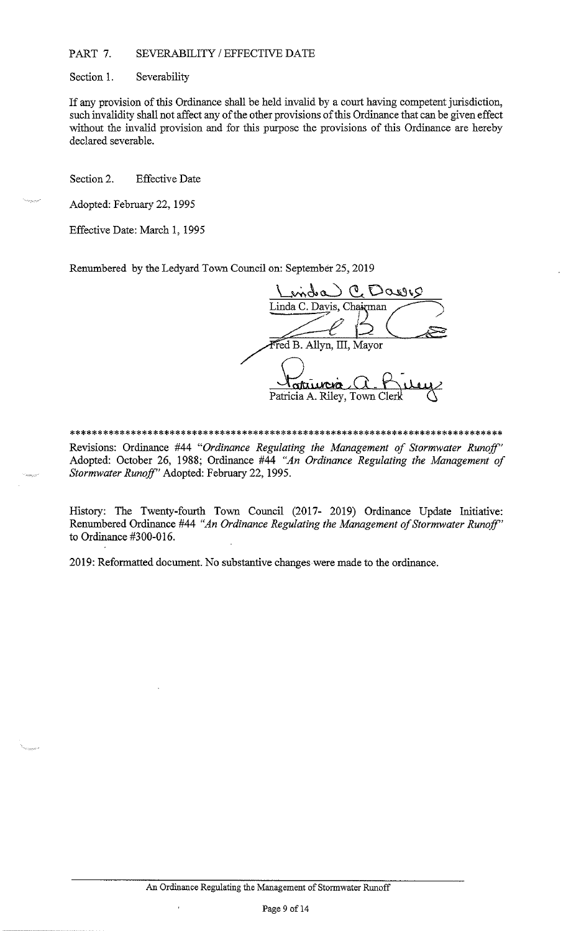#### PART 7. SEVERABILITY / EFFECTIVE DATE

Section 1. Severability

If any provision of this Ordinance shall be held invalid by a court having competent jurisdiction, such invalidity shall not affect any of the other provisions of this Ordinance that can be given effect without the invalid provision and for this purpose the provisions of this Ordinance are hereby declared severable.

Section 2. **Effective Date** 

Adopted: February 22, 1995

Effective Date: March 1, 1995

Renumbered by the Ledyard Town Council on: September 25, 2019

 $(0,00000,0)$ Fred B. Allyn, III, Mayor atuvcra Patricia A. Riley, Town Cle

Revisions: Ordinance #44 "Ordinance Regulating the Management of Stormwater Runoff" Adopted: October 26, 1988; Ordinance #44 "An Ordinance Regulating the Management of Stormwater Runoff" Adopted: February 22, 1995.

History: The Twenty-fourth Town Council (2017- 2019) Ordinance Update Initiative: Renumbered Ordinance #44 "An Ordinance Regulating the Management of Stormwater Runoff" to Ordinance  $#300-016$ .

2019: Reformatted document. No substantive changes were made to the ordinance.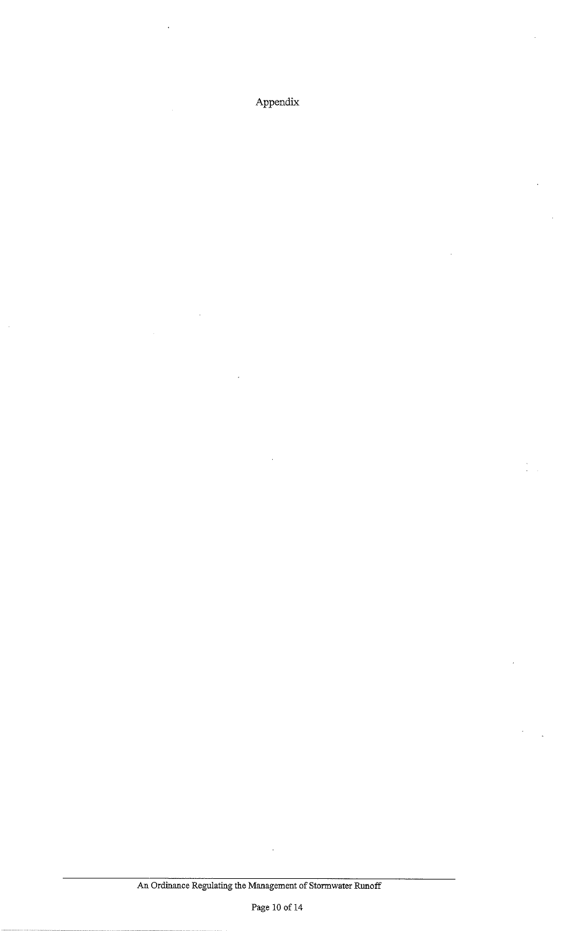Appendix

t)<br>E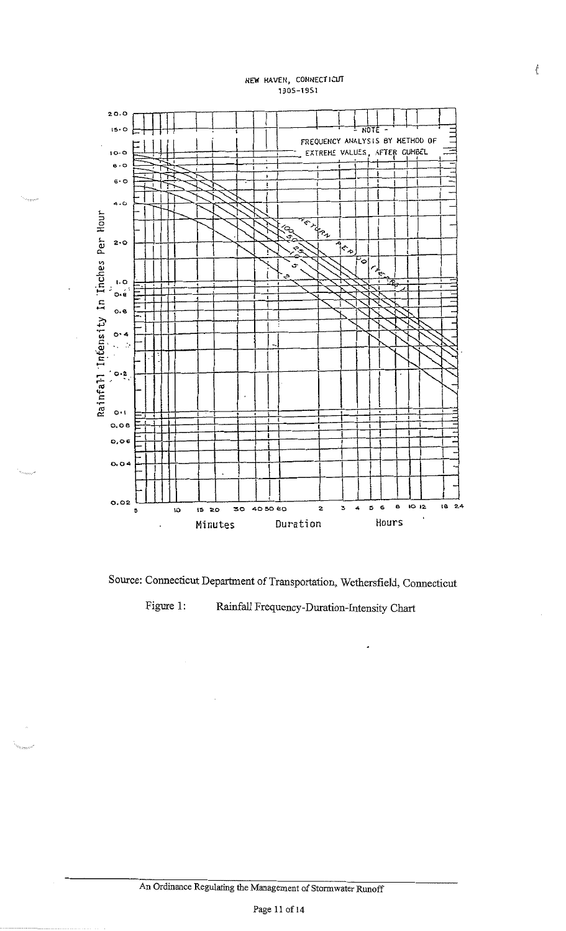#### NEW HAVEN, CONNECTICUT 1905-1951





Rainfall Frequency-Duration-Intensity Chart Figure 1: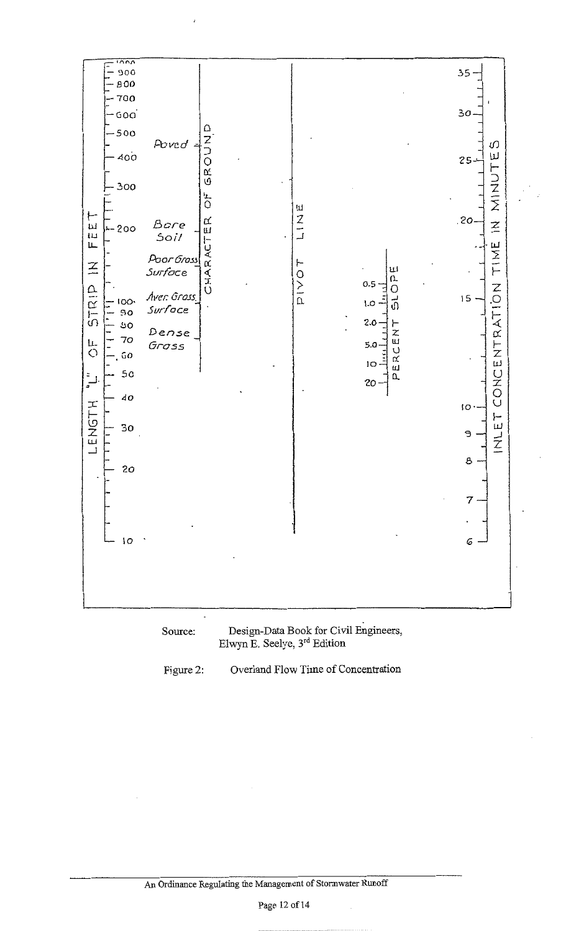

Design-Data Book for Civil Engineers,<br>Elwyn E. Seelye, 3rd Edition Source:

Overland Flow Time of Concentration Figure 2: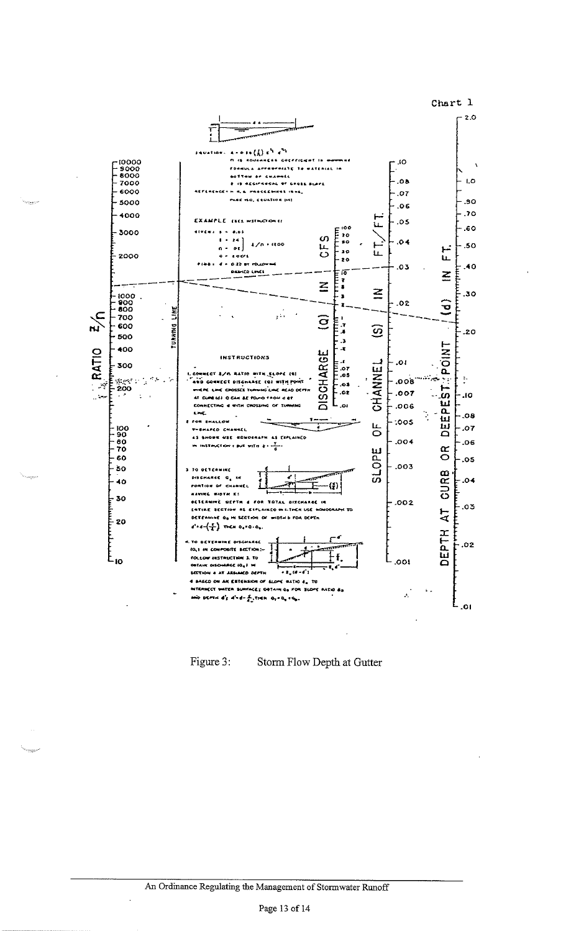

Figure 3:

Storm Flow Depth at Gutter